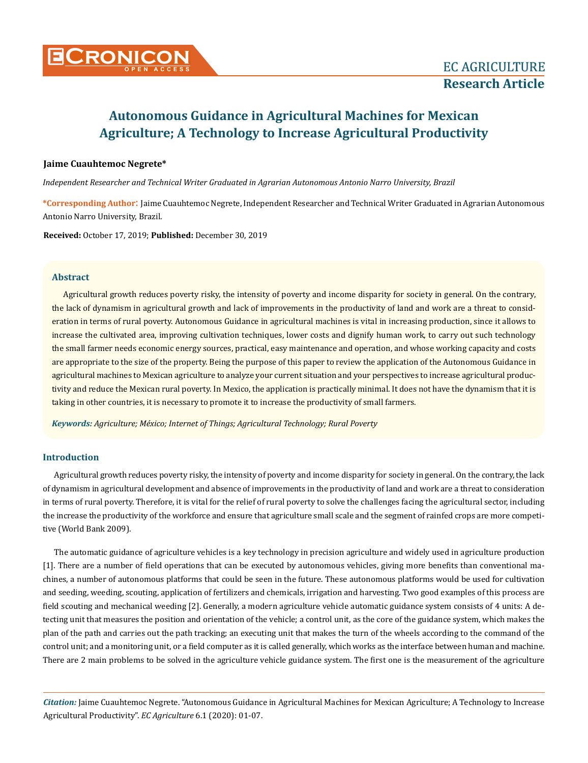

# **Jaime Cuauhtemoc Negrete\***

*Independent Researcher and Technical Writer Graduated in Agrarian Autonomous Antonio Narro University, Brazil*

**\*Corresponding Author**: Jaime Cuauhtemoc Negrete, Independent Researcher and Technical Writer Graduated in Agrarian Autonomous Antonio Narro University, Brazil.

**Received:** October 17, 2019; **Published:** December 30, 2019

## **Abstract**

Agricultural growth reduces poverty risky, the intensity of poverty and income disparity for society in general. On the contrary, the lack of dynamism in agricultural growth and lack of improvements in the productivity of land and work are a threat to consideration in terms of rural poverty. Autonomous Guidance in agricultural machines is vital in increasing production, since it allows to increase the cultivated area, improving cultivation techniques, lower costs and dignify human work, to carry out such technology the small farmer needs economic energy sources, practical, easy maintenance and operation, and whose working capacity and costs are appropriate to the size of the property. Being the purpose of this paper to review the application of the Autonomous Guidance in agricultural machines to Mexican agriculture to analyze your current situation and your perspectives to increase agricultural productivity and reduce the Mexican rural poverty. In Mexico, the application is practically minimal. It does not have the dynamism that it is taking in other countries, it is necessary to promote it to increase the productivity of small farmers.

*Keywords: Agriculture; México; Internet of Things; Agricultural Technology; Rural Poverty*

# **Introduction**

Agricultural growth reduces poverty risky, the intensity of poverty and income disparity for society in general. On the contrary, the lack of dynamism in agricultural development and absence of improvements in the productivity of land and work are a threat to consideration in terms of rural poverty. Therefore, it is vital for the relief of rural poverty to solve the challenges facing the agricultural sector, including the increase the productivity of the workforce and ensure that agriculture small scale and the segment of rainfed crops are more competitive (World Bank 2009).

The automatic guidance of agriculture vehicles is a key technology in precision agriculture and widely used in agriculture production [1]. There are a number of field operations that can be executed by autonomous vehicles, giving more benefits than conventional machines, a number of autonomous platforms that could be seen in the future. These autonomous platforms would be used for cultivation and seeding, weeding, scouting, application of fertilizers and chemicals, irrigation and harvesting. Two good examples of this process are field scouting and mechanical weeding [2]. Generally, a modern agriculture vehicle automatic guidance system consists of 4 units: A detecting unit that measures the position and orientation of the vehicle; a control unit, as the core of the guidance system, which makes the plan of the path and carries out the path tracking; an executing unit that makes the turn of the wheels according to the command of the control unit; and a monitoring unit, or a field computer as it is called generally, which works as the interface between human and machine. There are 2 main problems to be solved in the agriculture vehicle guidance system. The first one is the measurement of the agriculture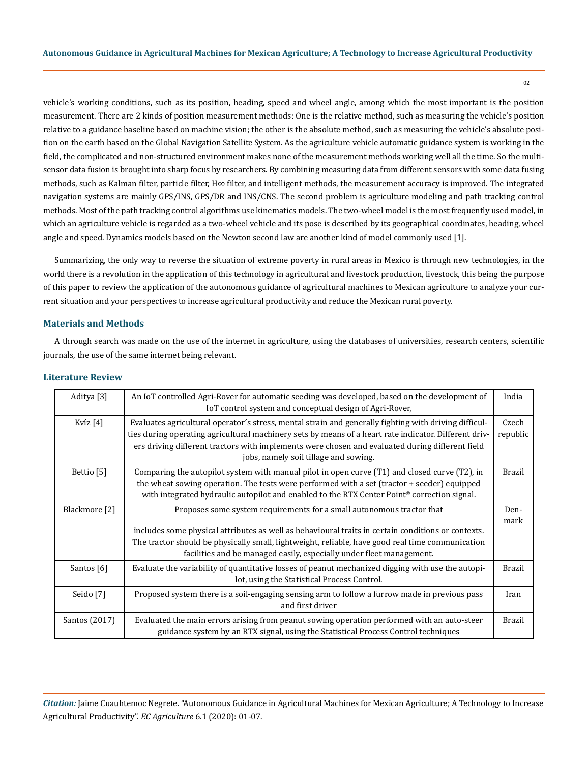02

vehicle's working conditions, such as its position, heading, speed and wheel angle, among which the most important is the position measurement. There are 2 kinds of position measurement methods: One is the relative method, such as measuring the vehicle's position relative to a guidance baseline based on machine vision; the other is the absolute method, such as measuring the vehicle's absolute position on the earth based on the Global Navigation Satellite System. As the agriculture vehicle automatic guidance system is working in the field, the complicated and non-structured environment makes none of the measurement methods working well all the time. So the multisensor data fusion is brought into sharp focus by researchers. By combining measuring data from different sensors with some data fusing methods, such as Kalman filter, particle filter, H∞ filter, and intelligent methods, the measurement accuracy is improved. The integrated navigation systems are mainly GPS/INS, GPS/DR and INS/CNS. The second problem is agriculture modeling and path tracking control methods. Most of the path tracking control algorithms use kinematics models. The two-wheel model is the most frequently used model, in which an agriculture vehicle is regarded as a two-wheel vehicle and its pose is described by its geographical coordinates, heading, wheel angle and speed. Dynamics models based on the Newton second law are another kind of model commonly used [1].

Summarizing, the only way to reverse the situation of extreme poverty in rural areas in Mexico is through new technologies, in the world there is a revolution in the application of this technology in agricultural and livestock production, livestock, this being the purpose of this paper to review the application of the autonomous guidance of agricultural machines to Mexican agriculture to analyze your current situation and your perspectives to increase agricultural productivity and reduce the Mexican rural poverty.

## **Materials and Methods**

A through search was made on the use of the internet in agriculture, using the databases of universities, research centers, scientific journals, the use of the same internet being relevant.

| Aditya <sup>[3]</sup> | An IoT controlled Agri-Rover for automatic seeding was developed, based on the development of<br>IoT control system and conceptual design of Agri-Rover,                                                                                                                                                                                                   | India             |
|-----------------------|------------------------------------------------------------------------------------------------------------------------------------------------------------------------------------------------------------------------------------------------------------------------------------------------------------------------------------------------------------|-------------------|
| Kvíz $[4]$            | Evaluates agricultural operator's stress, mental strain and generally fighting with driving difficul-<br>ties during operating agricultural machinery sets by means of a heart rate indicator. Different driv-<br>ers driving different tractors with implements were chosen and evaluated during different field<br>jobs, namely soil tillage and sowing. | Czech<br>republic |
| Bettio <sup>[5]</sup> | Comparing the autopilot system with manual pilot in open curve $(T1)$ and closed curve $(T2)$ , in<br>the wheat sowing operation. The tests were performed with a set (tractor + seeder) equipped<br>with integrated hydraulic autopilot and enabled to the RTX Center Point <sup>®</sup> correction signal.                                               | <b>Brazil</b>     |
| Blackmore [2]         | Proposes some system requirements for a small autonomous tractor that<br>includes some physical attributes as well as behavioural traits in certain conditions or contexts.<br>The tractor should be physically small, lightweight, reliable, have good real time communication<br>facilities and be managed easily, especially under fleet management.    | Den-<br>mark      |
| Santos [6]            | Evaluate the variability of quantitative losses of peanut mechanized digging with use the autopi-<br>lot, using the Statistical Process Control.                                                                                                                                                                                                           | <b>Brazil</b>     |
| Seido [7]             | Proposed system there is a soil-engaging sensing arm to follow a furrow made in previous pass<br>and first driver                                                                                                                                                                                                                                          | Iran              |
| Santos (2017)         | Evaluated the main errors arising from peanut sowing operation performed with an auto-steer<br>guidance system by an RTX signal, using the Statistical Process Control techniques                                                                                                                                                                          | Brazil            |

#### **Literature Review**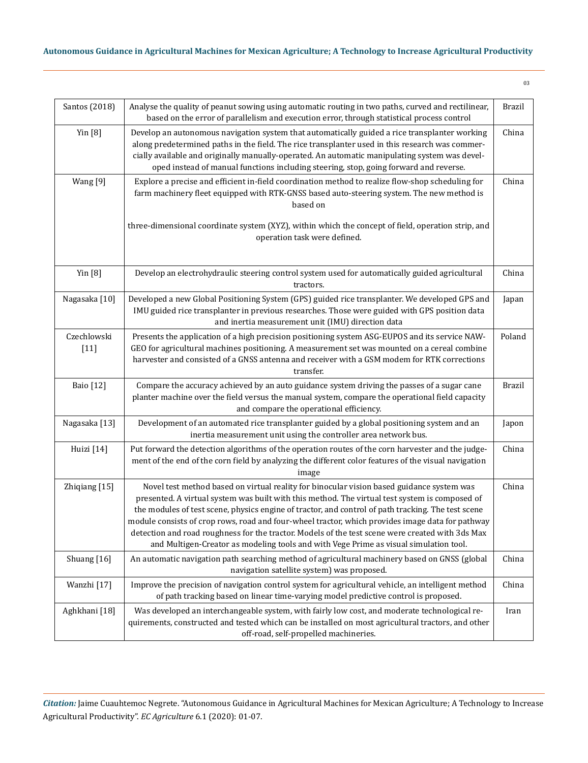| Santos (2018)         | Analyse the quality of peanut sowing using automatic routing in two paths, curved and rectilinear,<br>based on the error of parallelism and execution error, through statistical process control                                                                                                                                                                                                                                                                                                                                                                                                   | Brazil        |
|-----------------------|----------------------------------------------------------------------------------------------------------------------------------------------------------------------------------------------------------------------------------------------------------------------------------------------------------------------------------------------------------------------------------------------------------------------------------------------------------------------------------------------------------------------------------------------------------------------------------------------------|---------------|
| Yin $[8]$             | Develop an autonomous navigation system that automatically guided a rice transplanter working<br>along predetermined paths in the field. The rice transplanter used in this research was commer-<br>cially available and originally manually-operated. An automatic manipulating system was devel-<br>oped instead of manual functions including steering, stop, going forward and reverse.                                                                                                                                                                                                        | China         |
| Wang [9]              | Explore a precise and efficient in-field coordination method to realize flow-shop scheduling for<br>farm machinery fleet equipped with RTK-GNSS based auto-steering system. The new method is<br>based on                                                                                                                                                                                                                                                                                                                                                                                          | China         |
|                       | three-dimensional coordinate system (XYZ), within which the concept of field, operation strip, and<br>operation task were defined.                                                                                                                                                                                                                                                                                                                                                                                                                                                                 |               |
| Yin $[8]$             | Develop an electrohydraulic steering control system used for automatically guided agricultural<br>tractors.                                                                                                                                                                                                                                                                                                                                                                                                                                                                                        | China         |
| Nagasaka [10]         | Developed a new Global Positioning System (GPS) guided rice transplanter. We developed GPS and<br>IMU guided rice transplanter in previous researches. Those were guided with GPS position data<br>and inertia measurement unit (IMU) direction data                                                                                                                                                                                                                                                                                                                                               | Japan         |
| Czechlowski<br>$[11]$ | Presents the application of a high precision positioning system ASG-EUPOS and its service NAW-<br>GEO for agricultural machines positioning. A measurement set was mounted on a cereal combine<br>harvester and consisted of a GNSS antenna and receiver with a GSM modem for RTK corrections<br>transfer.                                                                                                                                                                                                                                                                                         | Poland        |
| <b>Baio</b> [12]      | Compare the accuracy achieved by an auto guidance system driving the passes of a sugar cane<br>planter machine over the field versus the manual system, compare the operational field capacity<br>and compare the operational efficiency.                                                                                                                                                                                                                                                                                                                                                          | <b>Brazil</b> |
| Nagasaka [13]         | Development of an automated rice transplanter guided by a global positioning system and an<br>inertia measurement unit using the controller area network bus.                                                                                                                                                                                                                                                                                                                                                                                                                                      | Japon         |
| Huizi [14]            | Put forward the detection algorithms of the operation routes of the corn harvester and the judge-<br>ment of the end of the corn field by analyzing the different color features of the visual navigation<br>image                                                                                                                                                                                                                                                                                                                                                                                 | China         |
| Zhiqiang [15]         | Novel test method based on virtual reality for binocular vision based guidance system was<br>presented. A virtual system was built with this method. The virtual test system is composed of<br>the modules of test scene, physics engine of tractor, and control of path tracking. The test scene<br>module consists of crop rows, road and four-wheel tractor, which provides image data for pathway<br>detection and road roughness for the tractor. Models of the test scene were created with 3ds Max<br>and Multigen-Creator as modeling tools and with Vege Prime as visual simulation tool. | China         |
| Shuang [16]           | An automatic navigation path searching method of agricultural machinery based on GNSS (global<br>navigation satellite system) was proposed.                                                                                                                                                                                                                                                                                                                                                                                                                                                        | China         |
| Wanzhi [17]           | Improve the precision of navigation control system for agricultural vehicle, an intelligent method<br>of path tracking based on linear time-varying model predictive control is proposed.                                                                                                                                                                                                                                                                                                                                                                                                          | China         |
| Aghkhani [18]         | Was developed an interchangeable system, with fairly low cost, and moderate technological re-<br>quirements, constructed and tested which can be installed on most agricultural tractors, and other<br>off-road, self-propelled machineries.                                                                                                                                                                                                                                                                                                                                                       | Iran          |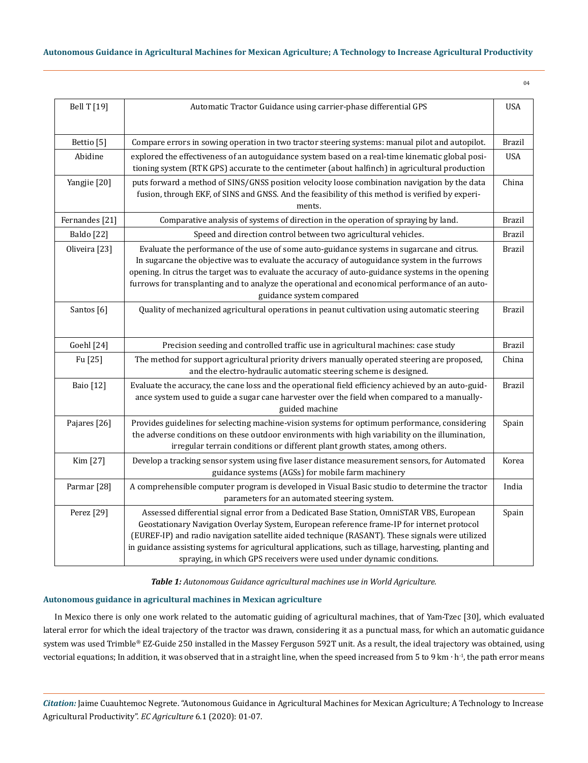| ٦      | ٠<br>전 사 |  |
|--------|----------|--|
| $\sim$ |          |  |

| <b>Bell T</b> [19]        | Automatic Tractor Guidance using carrier-phase differential GPS                                                                                                                                                                                                                                                                                                                                                                                                             | <b>USA</b>    |
|---------------------------|-----------------------------------------------------------------------------------------------------------------------------------------------------------------------------------------------------------------------------------------------------------------------------------------------------------------------------------------------------------------------------------------------------------------------------------------------------------------------------|---------------|
| Bettio <sup>[5]</sup>     | Compare errors in sowing operation in two tractor steering systems: manual pilot and autopilot.                                                                                                                                                                                                                                                                                                                                                                             | <b>Brazil</b> |
| Abidine                   | explored the effectiveness of an autoguidance system based on a real-time kinematic global posi-<br>tioning system (RTK GPS) accurate to the centimeter (about halfinch) in agricultural production                                                                                                                                                                                                                                                                         | <b>USA</b>    |
| Yangjie [20]              | puts forward a method of SINS/GNSS position velocity loose combination navigation by the data<br>fusion, through EKF, of SINS and GNSS. And the feasibility of this method is verified by experi-<br>ments.                                                                                                                                                                                                                                                                 | China         |
| Fernandes <sup>[21]</sup> | Comparative analysis of systems of direction in the operation of spraying by land.                                                                                                                                                                                                                                                                                                                                                                                          | <b>Brazil</b> |
| <b>Baldo</b> [22]         | Speed and direction control between two agricultural vehicles.                                                                                                                                                                                                                                                                                                                                                                                                              | <b>Brazil</b> |
| Oliveira [23]             | Evaluate the performance of the use of some auto-guidance systems in sugarcane and citrus.<br>In sugarcane the objective was to evaluate the accuracy of autoguidance system in the furrows<br>opening. In citrus the target was to evaluate the accuracy of auto-guidance systems in the opening<br>furrows for transplanting and to analyze the operational and economical performance of an auto-<br>guidance system compared                                            | <b>Brazil</b> |
| Santos <sup>[6]</sup>     | Quality of mechanized agricultural operations in peanut cultivation using automatic steering                                                                                                                                                                                                                                                                                                                                                                                | <b>Brazil</b> |
| Goehl [24]                | Precision seeding and controlled traffic use in agricultural machines: case study                                                                                                                                                                                                                                                                                                                                                                                           | <b>Brazil</b> |
| Fu [25]                   | The method for support agricultural priority drivers manually operated steering are proposed,<br>and the electro-hydraulic automatic steering scheme is designed.                                                                                                                                                                                                                                                                                                           | China         |
| <b>Baio</b> [12]          | Evaluate the accuracy, the cane loss and the operational field efficiency achieved by an auto-guid-<br>ance system used to guide a sugar cane harvester over the field when compared to a manually-<br>guided machine                                                                                                                                                                                                                                                       | <b>Brazil</b> |
| Pajares [26]              | Provides guidelines for selecting machine-vision systems for optimum performance, considering<br>the adverse conditions on these outdoor environments with high variability on the illumination,<br>irregular terrain conditions or different plant growth states, among others.                                                                                                                                                                                            | Spain         |
| Kim [27]                  | Develop a tracking sensor system using five laser distance measurement sensors, for Automated<br>guidance systems (AGSs) for mobile farm machinery                                                                                                                                                                                                                                                                                                                          | Korea         |
| Parmar <sup>[28]</sup>    | A comprehensible computer program is developed in Visual Basic studio to determine the tractor<br>parameters for an automated steering system.                                                                                                                                                                                                                                                                                                                              | India         |
| Perez [29]                | Assessed differential signal error from a Dedicated Base Station, OmniSTAR VBS, European<br>Geostationary Navigation Overlay System, European reference frame-IP for internet protocol<br>(EUREF-IP) and radio navigation satellite aided technique (RASANT). These signals were utilized<br>in guidance assisting systems for agricultural applications, such as tillage, harvesting, planting and<br>spraying, in which GPS receivers were used under dynamic conditions. | Spain         |

*Table 1: Autonomous Guidance agricultural machines use in World Agriculture.*

# **Autonomous guidance in agricultural machines in Mexican agriculture**

In Mexico there is only one work related to the automatic guiding of agricultural machines, that of Yam-Tzec [30], which evaluated lateral error for which the ideal trajectory of the tractor was drawn, considering it as a punctual mass, for which an automatic guidance system was used Trimble® EZ-Guide 250 installed in the Massey Ferguson 592T unit. As a result, the ideal trajectory was obtained, using vectorial equations; In addition, it was observed that in a straight line, when the speed increased from 5 to 9 km ⋅ h<sup>-1</sup>, the path error means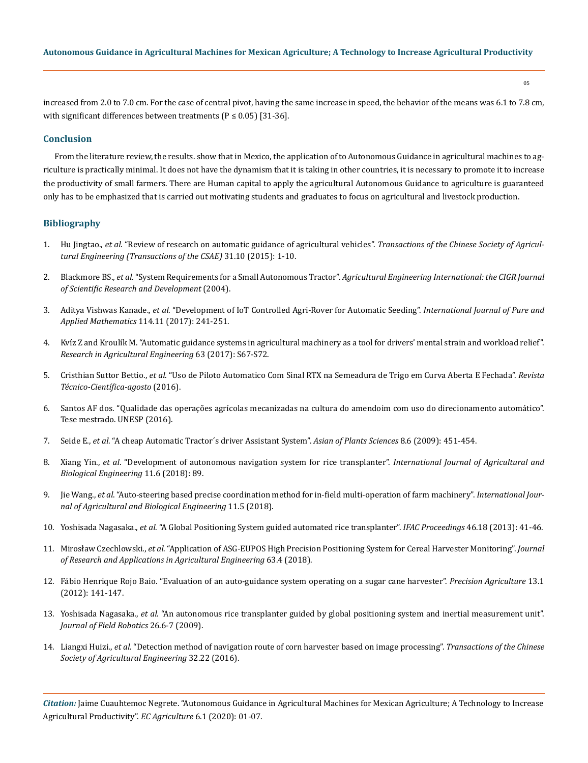increased from 2.0 to 7.0 cm. For the case of central pivot, having the same increase in speed, the behavior of the means was 6.1 to 7.8 cm, with significant differences between treatments ( $P \le 0.05$ ) [31-36].

### **Conclusion**

From the literature review, the results. show that in Mexico, the application of to Autonomous Guidance in agricultural machines to agriculture is practically minimal. It does not have the dynamism that it is taking in other countries, it is necessary to promote it to increase the productivity of small farmers. There are Human capital to apply the agricultural Autonomous Guidance to agriculture is guaranteed only has to be emphasized that is carried out motivating students and graduates to focus on agricultural and livestock production.

# **Bibliography**

- 1. Hu Jingtao., *et al*[. "Review of research on automatic guidance of agricultural vehicles".](https://www.researchgate.net/publication/282311557_Review_of_research_on_automatic_guidance_of_agricultural_vehicles) *Transactions of the Chinese Society of Agricul[tural Engineering \(Transactions of the CSAE\)](https://www.researchgate.net/publication/282311557_Review_of_research_on_automatic_guidance_of_agricultural_vehicles)* 31.10 (2015): 1-10.
- 2. Blackmore BS., *et al*. "System Requirements for a Small Autonomous Tractor". *[Agricultural Engineering International: the CIGR Journal](https://cigrjournal.org/index.php/Ejounral/article/view/525/0)  [of Scientific Research and Development](https://cigrjournal.org/index.php/Ejounral/article/view/525/0)* (2004).
- 3. Aditya Vishwas Kanade., *et al*[. "Development of IoT Controlled Agri-Rover for Automatic Seeding".](https://acadpubl.eu/jsi/2017-114-7-ICPCIT-2017/articles/11/24.pdf) *International Journal of Pure and Applied Mathematics* [114.11 \(2017\): 241-251.](https://acadpubl.eu/jsi/2017-114-7-ICPCIT-2017/articles/11/24.pdf)
- 4. [Kvíz Z and Kroulík M. "Automatic guidance systems in agricultural machinery as a tool for drivers' mental strain and workload relief".](https://www.researchgate.net/publication/322013441_Automatic_guidance_systems_in_agricultural_machinery_as_a_tool_for_drivers)  *[Research in Agricultural Engineering](https://www.researchgate.net/publication/322013441_Automatic_guidance_systems_in_agricultural_machinery_as_a_tool_for_drivers)* 63 (2017): S67-S72.
- 5. Cristhian Suttor Bettio., *et al*[. "Uso de Piloto Automatico Com Sinal RTX na Semeadura de Trigo em Curva Aberta E Fechada".](http://creaprw16.crea-pr.org.br/revista/Sistema/index.php/revista/article/view/197) *Revista [Técnico-Científica-agosto](http://creaprw16.crea-pr.org.br/revista/Sistema/index.php/revista/article/view/197)* (2016).
- 6. [Santos AF dos. "Qualidade das operações agrícolas mecanizadas na cultura do amendoim com uso do direcionamento automático".](https://repositorio.unesp.br/handle/11449/143957)  [Tese mestrado. UNESP \(2016\).](https://repositorio.unesp.br/handle/11449/143957)
- 7. Seide E., *et al*[. "A cheap Automatic Tractor´s driver Assistant System".](https://scialert.net/fulltextmobile/?doi=ajps.2009.451.454) *Asian of Plants Sciences* 8.6 (2009): 451-454.
- 8. Xiang Yin., *et al*[. "Development of autonomous navigation system for rice transplanter".](http://www.ijabe.org/index.php/ijabe/article/view/3023) *International Journal of Agricultural and [Biological Engineering](http://www.ijabe.org/index.php/ijabe/article/view/3023)* 11.6 (2018): 89.
- 9. Jie Wang., *et al*[. "Auto-steering based precise coordination method for in-field multi-operation of farm machinery".](http://www.ijabe.org/index.php/ijabe/article/view/3827) *International Jour[nal of Agricultural and Biological Engineering](http://www.ijabe.org/index.php/ijabe/article/view/3827)* 11.5 (2018).
- 10. Yoshisada Nagasaka., *et al*[. "A Global Positioning System guided automated rice transplanter".](https://www.sciencedirect.com/science/article/pii/S1474667015349569) *IFAC Proceedings* 46.18 (2013): 41-46.
- 11. Mirosław Czechlowski., *et al*[. "Application of ASG-EUPOS High Precision Positioning System for Cereal Harvester Monitoring".](https://www.researchgate.net/publication/330002301_APPLICATION_OF_ASG-EUPOS_HIGH_PRECISION_POSITIONING_SYSTEM_FOR_CEREAL_HARVESTER_MONITORING) *Journal [of Research and Applications in Agricultural Engineering](https://www.researchgate.net/publication/330002301_APPLICATION_OF_ASG-EUPOS_HIGH_PRECISION_POSITIONING_SYSTEM_FOR_CEREAL_HARVESTER_MONITORING)* 63.4 (2018).
- 12. [Fábio Henrique Rojo Baio. "Evaluation of an auto-guidance system operating on a sugar cane harvester".](https://link.springer.com/article/10.1007/s11119-011-9241-6) *Precision Agriculture* 13.1 [\(2012\): 141-147.](https://link.springer.com/article/10.1007/s11119-011-9241-6)
- 13. Yoshisada Nagasaka., *et al*[. "An autonomous rice transplanter guided by global positioning system and inertial measurement unit".](https://onlinelibrary.wiley.com/doi/abs/10.1002/rob.20294)  *[Journal of Field Robotics](https://onlinelibrary.wiley.com/doi/abs/10.1002/rob.20294)* 26.6-7 (2009).
- 14. Liangxi Huizi., *et al*[. "Detection method of navigation route of corn harvester based on image processing".](https://www.researchgate.net/publication/311640523_Detection_method_of_navigation_route_of_corn_harvester_based_on_image_processing) *Transactions of the Chinese [Society of Agricultural Engineering](https://www.researchgate.net/publication/311640523_Detection_method_of_navigation_route_of_corn_harvester_based_on_image_processing)* 32.22 (2016).

*Citation:* Jaime Cuauhtemoc Negrete. "Autonomous Guidance in Agricultural Machines for Mexican Agriculture; A Technology to Increase Agricultural Productivity". *EC Agriculture* 6.1 (2020): 01-07.

05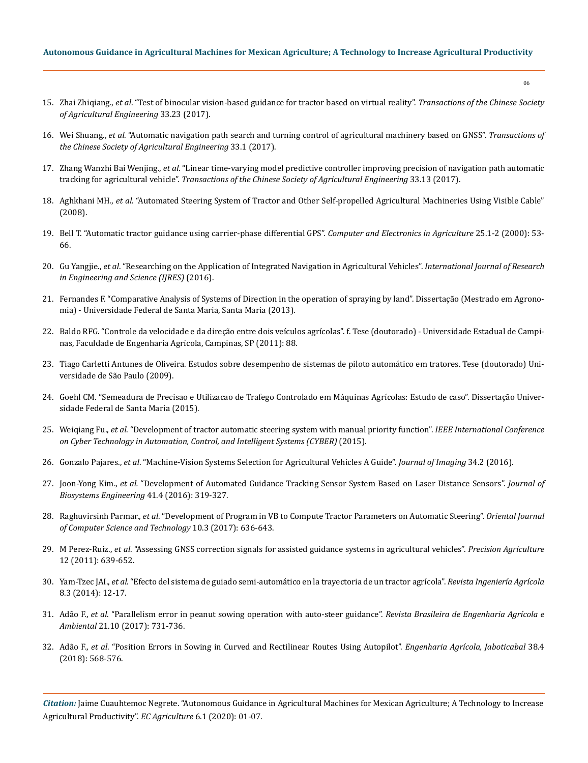- 15. Zhai Zhiqiang., *et al*[. "Test of binocular vision-based guidance for tractor based on virtual reality".](https://www.researchgate.net/publication/323970303_Test_of_binocular_vision-based_guidance_for_tractor_based_on_virtual_reality) *Transactions of the Chinese Society [of Agricultural Engineering](https://www.researchgate.net/publication/323970303_Test_of_binocular_vision-based_guidance_for_tractor_based_on_virtual_reality)* 33.23 (2017).
- 16. Wei Shuang., *et al*[. "Automatic navigation path search and turning control of agricultural machinery based on GNSS".](https://www.researchgate.net/publication/320109860_Automatic_navigation_path_search_and_turning_control_of_agricultural_machinery_based_on_GNSS) *Transactions of [the Chinese Society of Agricultural Engineering](https://www.researchgate.net/publication/320109860_Automatic_navigation_path_search_and_turning_control_of_agricultural_machinery_based_on_GNSS)* 33.1 (2017).
- 17. Zhang Wanzhi Bai Wenjing., *et al*[. "Linear time-varying model predictive controller improving precision of navigation path automatic](https://www.researchgate.net/publication/320428510_Linear_time-varying_model_predictive_controller_improving_precision_of_navigation_path_automatic_tracking_for_agricultural_vehicle)  tracking for agricultural vehicle". *[Transactions of the Chinese Society of Agricultural Engineering](https://www.researchgate.net/publication/320428510_Linear_time-varying_model_predictive_controller_improving_precision_of_navigation_path_automatic_tracking_for_agricultural_vehicle)* 33.13 (2017).
- 18. Aghkhani MH., *et al*[. "Automated Steering System of Tractor and Other Self-propelled Agricultural Machineries Using Visible Cable"](https://www.researchgate.net/publication/229020236_Automated_Steering_System_of_Tractor_and_Other_Self-propelled_Agricultural_Machineries_Using_Visible_Cable)  [\(2008\).](https://www.researchgate.net/publication/229020236_Automated_Steering_System_of_Tractor_and_Other_Self-propelled_Agricultural_Machineries_Using_Visible_Cable)
- 19. [Bell T. "Automatic tractor guidance using carrier-phase differential GPS".](https://www.sciencedirect.com/science/article/pii/S0168169999000551) *Computer and Electronics in Agriculture* 25.1-2 (2000): 53- [66.](https://www.sciencedirect.com/science/article/pii/S0168169999000551)
- 20. Gu Yangjie., *et al*[. "Researching on the Application of Integrated Navigation in Agricultural Vehicles".](http://docplayer.net/133859763-Researching-on-the-application-of-integrated-navigation-in-agricultural-vehicles.html) *International Journal of Research [in Engineering and Science](http://docplayer.net/133859763-Researching-on-the-application-of-integrated-navigation-in-agricultural-vehicles.html) (IJRES)* (2016).
- 21. Fernandes F. "Comparative Analysis of Systems of Direction in the operation of spraying by land". Dissertação (Mestrado em Agronomia) - Universidade Federal de Santa Maria, Santa Maria (2013).
- 22. Baldo RFG. "Controle da velocidade e da direção entre dois veículos agrícolas". f. Tese (doutorado) Universidade Estadual de Campinas, Faculdade de Engenharia Agrícola, Campinas, SP (2011): 88.
- 23. [Tiago Carletti Antunes de Oliveira. Estudos sobre desempenho de sistemas de piloto automático em tratores. Tese \(doutorado\) Uni](https://www.escavador.com/sobre/11390951/tiago-carletti-antunes-de-oliveira)[versidade de São Paulo \(2009\).](https://www.escavador.com/sobre/11390951/tiago-carletti-antunes-de-oliveira)
- 24. [Goehl CM. "Semeadura de Precisao e Utilizacao de Trafego Controlado em Máquinas Agrícolas: Estudo de caso". Dissertação Univer](https://repositorio.ufsm.br/handle/1/4827)[sidade Federal de Santa Maria \(2015\).](https://repositorio.ufsm.br/handle/1/4827)
- 25. Weiqiang Fu., *et al*[. "Development of tractor automatic steering system with manual priority function".](https://ieeexplore.ieee.org/document/7288000) *IEEE International Conference [on Cyber Technology in Automation, Control, and Intelligent Systems](https://ieeexplore.ieee.org/document/7288000) (CYBER)* (2015).
- 26. Gonzalo Pajares., *et al*[. "Machine-Vision Systems Selection for Agricultural Vehicles A Guide".](https://www.mdpi.com/2313-433X/2/4/34) *Journal of Imaging* 34.2 (2016).
- 27. Joon-Yong Kim., *et al.* ["Development of Automated Guidance Tracking Sensor System Based on Laser Distance Sensors".](https://www.e-sciencecentral.org/articles/SC000021729) *Journal of [Biosystems Engineering](https://www.e-sciencecentral.org/articles/SC000021729)* 41.4 (2016): 319-327.
- 28. Raghuvirsinh Parmar., *et al*[. "Development of Program in VB to Compute Tractor Parameters on Automatic Steering".](http://www.computerscijournal.org/vol10no3/development-of-program-in-vb-to-compute-tractor-parameters-on-automatic-steering/) *Oriental Journal [of Computer Science and Technology](http://www.computerscijournal.org/vol10no3/development-of-program-in-vb-to-compute-tractor-parameters-on-automatic-steering/)* 10.3 (2017): 636-643.
- 29. M Perez-Ruiz., *et al*[. "Assessing GNSS correction signals for assisted guidance systems in agricultural vehicles".](https://www.researchgate.net/publication/225806471_Assessing_GNSS_correction_signals_for_assisted_guidance_system_in_agricultural_vehicles) *Precision Agriculture* [12 \(2011\): 639-652.](https://www.researchgate.net/publication/225806471_Assessing_GNSS_correction_signals_for_assisted_guidance_system_in_agricultural_vehicles)
- 30. Yam-Tzec JAI., *et al.* "Efecto del sistema de guiado semi-automático en la trayectoria de un tractor agrícola". *Revista Ingeniería Agrícola* 8.3 (2014): 12-17.
- 31. Adão F., *et al*[. "Parallelism error in peanut sowing operation with auto-steer guidance".](http://www.scielo.br/scielo.php?script=sci_arttext&pid=S1415-43662017001000731) *Revista Brasileira de Engenharia Agrícola e Ambiental* [21.10 \(2017\): 731-736.](http://www.scielo.br/scielo.php?script=sci_arttext&pid=S1415-43662017001000731)
- 32. Adão F., *et al*[. "Position Errors in Sowing in Curved and Rectilinear Routes Using Autopilot".](http://www.scielo.br/scielo.php?script=sci_arttext&pid=S0100-69162018000400568) *Engenharia Agrícola, Jaboticabal* 38.4 [\(2018\): 568-576.](http://www.scielo.br/scielo.php?script=sci_arttext&pid=S0100-69162018000400568)

*Citation:* Jaime Cuauhtemoc Negrete. "Autonomous Guidance in Agricultural Machines for Mexican Agriculture; A Technology to Increase Agricultural Productivity". *EC Agriculture* 6.1 (2020): 01-07.

06